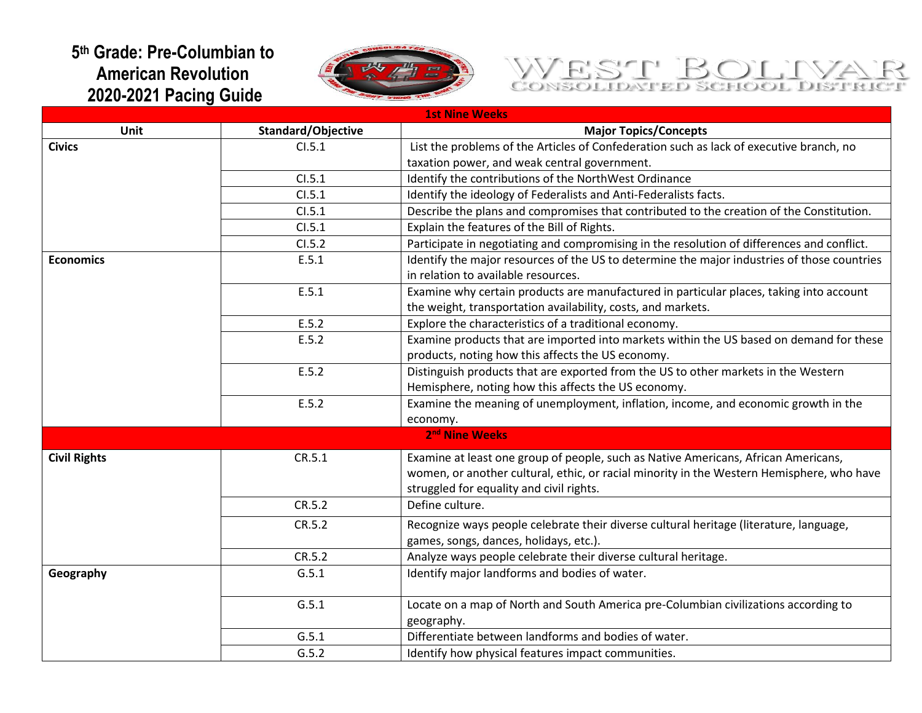## **5 th Grade: Pre-Columbian to American Revolution 2020-2021 Pacing Guide**



## WEST BOLIVAR

|                     | <b>1st Nine Weeks</b> |                                                                                             |  |  |  |
|---------------------|-----------------------|---------------------------------------------------------------------------------------------|--|--|--|
| Unit                | Standard/Objective    | <b>Major Topics/Concepts</b>                                                                |  |  |  |
| <b>Civics</b>       | CI.5.1                | List the problems of the Articles of Confederation such as lack of executive branch, no     |  |  |  |
|                     |                       | taxation power, and weak central government.                                                |  |  |  |
|                     | CI.5.1                | Identify the contributions of the NorthWest Ordinance                                       |  |  |  |
|                     | CI.5.1                | Identify the ideology of Federalists and Anti-Federalists facts.                            |  |  |  |
|                     | CI.5.1                | Describe the plans and compromises that contributed to the creation of the Constitution.    |  |  |  |
|                     | CI.5.1                | Explain the features of the Bill of Rights.                                                 |  |  |  |
|                     | CI.5.2                | Participate in negotiating and compromising in the resolution of differences and conflict.  |  |  |  |
| <b>Economics</b>    | E.5.1                 | Identify the major resources of the US to determine the major industries of those countries |  |  |  |
|                     |                       | in relation to available resources.                                                         |  |  |  |
|                     | E.5.1                 | Examine why certain products are manufactured in particular places, taking into account     |  |  |  |
|                     |                       | the weight, transportation availability, costs, and markets.                                |  |  |  |
|                     | E.5.2                 | Explore the characteristics of a traditional economy.                                       |  |  |  |
|                     | E.5.2                 | Examine products that are imported into markets within the US based on demand for these     |  |  |  |
|                     |                       | products, noting how this affects the US economy.                                           |  |  |  |
|                     | E.5.2                 | Distinguish products that are exported from the US to other markets in the Western          |  |  |  |
|                     |                       | Hemisphere, noting how this affects the US economy.                                         |  |  |  |
|                     | E.5.2                 | Examine the meaning of unemployment, inflation, income, and economic growth in the          |  |  |  |
|                     |                       | economy.                                                                                    |  |  |  |
|                     |                       | 2 <sup>nd</sup> Nine Weeks                                                                  |  |  |  |
| <b>Civil Rights</b> | CR.5.1                | Examine at least one group of people, such as Native Americans, African Americans,          |  |  |  |
|                     |                       | women, or another cultural, ethic, or racial minority in the Western Hemisphere, who have   |  |  |  |
|                     |                       | struggled for equality and civil rights.                                                    |  |  |  |
|                     | CR.5.2                | Define culture.                                                                             |  |  |  |
|                     | CR.5.2                | Recognize ways people celebrate their diverse cultural heritage (literature, language,      |  |  |  |
|                     |                       | games, songs, dances, holidays, etc.).                                                      |  |  |  |
|                     | CR.5.2                | Analyze ways people celebrate their diverse cultural heritage.                              |  |  |  |
| Geography           | G.5.1                 | Identify major landforms and bodies of water.                                               |  |  |  |
|                     | G.5.1                 | Locate on a map of North and South America pre-Columbian civilizations according to         |  |  |  |
|                     |                       | geography.                                                                                  |  |  |  |
|                     | G.5.1                 | Differentiate between landforms and bodies of water.                                        |  |  |  |
|                     | G.5.2                 | Identify how physical features impact communities.                                          |  |  |  |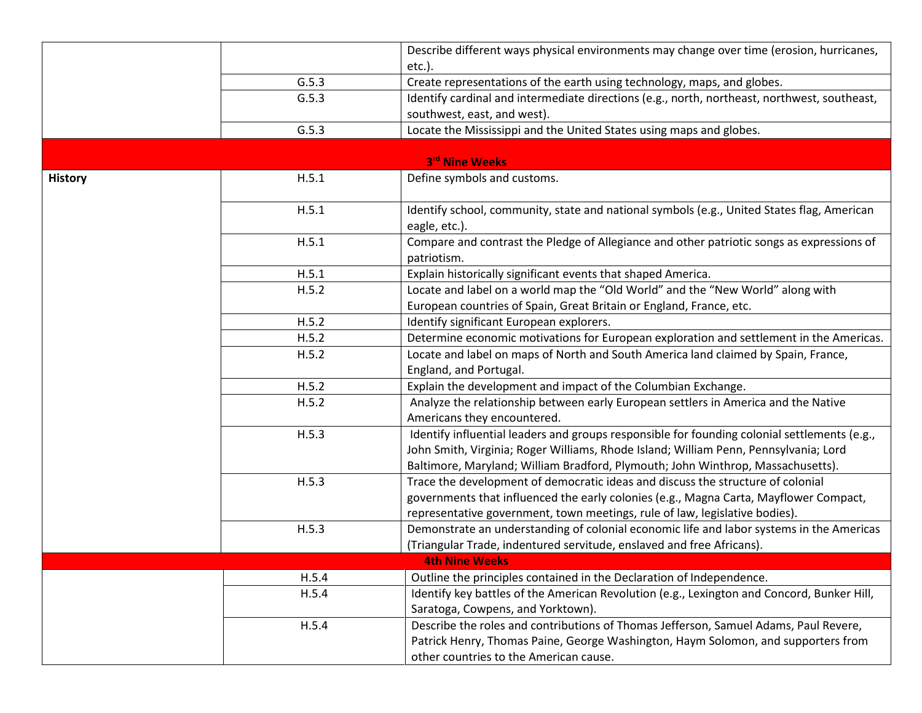|                |       | Describe different ways physical environments may change over time (erosion, hurricanes,                                                                                                                                                                                |
|----------------|-------|-------------------------------------------------------------------------------------------------------------------------------------------------------------------------------------------------------------------------------------------------------------------------|
|                |       | etc.).                                                                                                                                                                                                                                                                  |
|                | G.5.3 | Create representations of the earth using technology, maps, and globes.                                                                                                                                                                                                 |
|                | G.5.3 | Identify cardinal and intermediate directions (e.g., north, northeast, northwest, southeast,                                                                                                                                                                            |
|                |       | southwest, east, and west).                                                                                                                                                                                                                                             |
|                | G.5.3 | Locate the Mississippi and the United States using maps and globes.                                                                                                                                                                                                     |
|                |       | 3rd Nine Weeks                                                                                                                                                                                                                                                          |
| <b>History</b> | H.5.1 | Define symbols and customs.                                                                                                                                                                                                                                             |
|                | H.5.1 | Identify school, community, state and national symbols (e.g., United States flag, American<br>eagle, etc.).                                                                                                                                                             |
|                | H.5.1 | Compare and contrast the Pledge of Allegiance and other patriotic songs as expressions of<br>patriotism.                                                                                                                                                                |
|                | H.5.1 | Explain historically significant events that shaped America.                                                                                                                                                                                                            |
|                | H.5.2 | Locate and label on a world map the "Old World" and the "New World" along with                                                                                                                                                                                          |
|                |       | European countries of Spain, Great Britain or England, France, etc.                                                                                                                                                                                                     |
|                | H.5.2 | Identify significant European explorers.                                                                                                                                                                                                                                |
|                | H.5.2 | Determine economic motivations for European exploration and settlement in the Americas.                                                                                                                                                                                 |
|                | H.5.2 | Locate and label on maps of North and South America land claimed by Spain, France,                                                                                                                                                                                      |
|                |       | England, and Portugal.                                                                                                                                                                                                                                                  |
|                | H.5.2 | Explain the development and impact of the Columbian Exchange.                                                                                                                                                                                                           |
|                | H.5.2 | Analyze the relationship between early European settlers in America and the Native                                                                                                                                                                                      |
|                |       | Americans they encountered.                                                                                                                                                                                                                                             |
|                | H.5.3 | Identify influential leaders and groups responsible for founding colonial settlements (e.g.,<br>John Smith, Virginia; Roger Williams, Rhode Island; William Penn, Pennsylvania; Lord<br>Baltimore, Maryland; William Bradford, Plymouth; John Winthrop, Massachusetts). |
|                | H.5.3 | Trace the development of democratic ideas and discuss the structure of colonial                                                                                                                                                                                         |
|                |       | governments that influenced the early colonies (e.g., Magna Carta, Mayflower Compact,                                                                                                                                                                                   |
|                |       | representative government, town meetings, rule of law, legislative bodies).                                                                                                                                                                                             |
|                | H.5.3 | Demonstrate an understanding of colonial economic life and labor systems in the Americas                                                                                                                                                                                |
|                |       | (Triangular Trade, indentured servitude, enslaved and free Africans).                                                                                                                                                                                                   |
|                |       | <b>4th Nine Weeks</b>                                                                                                                                                                                                                                                   |
|                | H.5.4 | Outline the principles contained in the Declaration of Independence.                                                                                                                                                                                                    |
|                | H.5.4 | Identify key battles of the American Revolution (e.g., Lexington and Concord, Bunker Hill,                                                                                                                                                                              |
|                |       | Saratoga, Cowpens, and Yorktown).                                                                                                                                                                                                                                       |
|                | H.5.4 | Describe the roles and contributions of Thomas Jefferson, Samuel Adams, Paul Revere,                                                                                                                                                                                    |
|                |       | Patrick Henry, Thomas Paine, George Washington, Haym Solomon, and supporters from                                                                                                                                                                                       |
|                |       | other countries to the American cause.                                                                                                                                                                                                                                  |